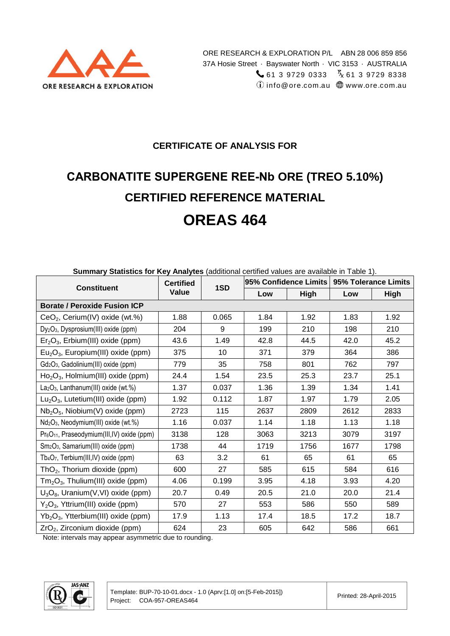

#### **CERTIFICATE OF ANALYSIS FOR**

# **CARBONATITE SUPERGENE REE-Nb ORE (TREO 5.10%) CERTIFIED REFERENCE MATERIAL OREAS 464**

| Summary Statistics for Key Analytes (additional certified values are available in Table 1). |                  |                 |                                              |      |      |             |
|---------------------------------------------------------------------------------------------|------------------|-----------------|----------------------------------------------|------|------|-------------|
| <b>Constituent</b>                                                                          | <b>Certified</b> | 1SD             | 95% Confidence Limits   95% Tolerance Limits |      |      |             |
|                                                                                             | Value            |                 | Low                                          | High | Low  | <b>High</b> |
| <b>Borate / Peroxide Fusion ICP</b>                                                         |                  |                 |                                              |      |      |             |
| CeO <sub>2</sub> , Cerium(IV) oxide (wt.%)                                                  | 1.88             | 0.065           | 1.84                                         | 1.92 | 1.83 | 1.92        |
| Dy <sub>2</sub> O <sub>3</sub> , Dysprosium(III) oxide (ppm)                                | 204              | 9               | 199                                          | 210  | 198  | 210         |
| $Er2O3$ , Erbium(III) oxide (ppm)                                                           | 43.6             | 1.49            | 42.8                                         | 44.5 | 42.0 | 45.2        |
| $Eu2O3$ , Europium(III) oxide (ppm)                                                         | 375              | 10 <sup>1</sup> | 371                                          | 379  | 364  | 386         |
| Gd <sub>2</sub> O <sub>3</sub> , Gadolinium(III) oxide (ppm)                                | 779              | 35              | 758                                          | 801  | 762  | 797         |
| $Ho2O3$ , Holmium(III) oxide (ppm)                                                          | 24.4             | 1.54            | 23.5                                         | 25.3 | 23.7 | 25.1        |
| La <sub>2</sub> O <sub>3</sub> , Lanthanum(III) oxide (wt.%)                                | 1.37             | 0.037           | 1.36                                         | 1.39 | 1.34 | 1.41        |
| $Lu2O3$ , Lutetium(III) oxide (ppm)                                                         | 1.92             | 0.112           | 1.87                                         | 1.97 | 1.79 | 2.05        |
| $Nb2O5$ , Niobium(V) oxide (ppm)                                                            | 2723             | 115             | 2637                                         | 2809 | 2612 | 2833        |
| Nd <sub>2</sub> O <sub>3</sub> , Neodymium(III) oxide (wt.%)                                | 1.16             | 0.037           | 1.14                                         | 1.18 | 1.13 | 1.18        |
| Pr <sub>6</sub> O <sub>11</sub> , Praseodymium(III,IV) oxide (ppm)                          | 3138             | 128             | 3063                                         | 3213 | 3079 | 3197        |
| Sm <sub>2</sub> O <sub>3</sub> , Samarium(III) oxide (ppm)                                  | 1738             | 44              | 1719                                         | 1756 | 1677 | 1798        |
| Tb <sub>4</sub> O <sub>7</sub> , Terbium(III,IV) oxide (ppm)                                | 63               | 3.2             | 61                                           | 65   | 61   | 65          |
| $ThO2$ , Thorium dioxide (ppm)                                                              | 600              | 27              | 585                                          | 615  | 584  | 616         |
| $Tm2O3$ , Thulium(III) oxide (ppm)                                                          | 4.06             | 0.199           | 3.95                                         | 4.18 | 3.93 | 4.20        |
| $U_3O_8$ , Uranium(V,VI) oxide (ppm)                                                        | 20.7             | 0.49            | 20.5                                         | 21.0 | 20.0 | 21.4        |
| $Y_2O_3$ , Yttrium(III) oxide (ppm)                                                         | 570              | 27              | 553                                          | 586  | 550  | 589         |
| $Yb_2O_3$ , Ytterbium(III) oxide (ppm)                                                      | 17.9             | 1.13            | 17.4                                         | 18.5 | 17.2 | 18.7        |
| ZrO <sub>2</sub> , Zirconium dioxide (ppm)                                                  | 624              | 23              | 605                                          | 642  | 586  | 661         |

**Summary Statistics for Key Analytes** (additional certified values are available in Table 1).

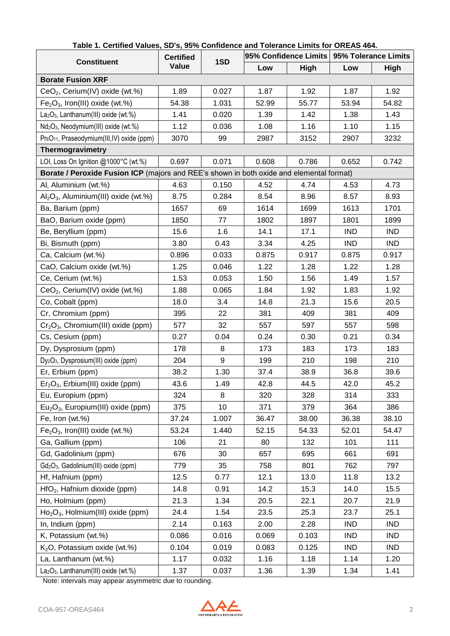|                                                                                          | <b>Certified</b> |       | 95% Confidence Limits |       | 95% Tolerance Limits |             |  |
|------------------------------------------------------------------------------------------|------------------|-------|-----------------------|-------|----------------------|-------------|--|
| <b>Constituent</b>                                                                       | Value            | 1SD   | Low                   | High  | Low                  | <b>High</b> |  |
| <b>Borate Fusion XRF</b>                                                                 |                  |       |                       |       |                      |             |  |
| CeO <sub>2</sub> , Cerium(IV) oxide (wt.%)                                               | 1.89             | 0.027 | 1.87                  | 1.92  | 1.87                 | 1.92        |  |
| $Fe2O3$ , Iron(III) oxide (wt.%)                                                         | 54.38            | 1.031 | 52.99                 | 55.77 | 53.94                | 54.82       |  |
| La <sub>2</sub> O <sub>3</sub> , Lanthanum(III) oxide (wt.%)                             | 1.41             | 0.020 | 1.39                  | 1.42  | 1.38                 | 1.43        |  |
| Nd <sub>2</sub> O <sub>3</sub> , Neodymium(III) oxide (wt.%)                             | 1.12             | 0.036 | 1.08                  | 1.16  | 1.10                 | 1.15        |  |
| Pr <sub>6</sub> O <sub>11</sub> , Praseodymium(III,IV) oxide (ppm)                       | 3070             | 99    | 2987                  | 3152  | 2907                 | 3232        |  |
| Thermogravimetry                                                                         |                  |       |                       |       |                      |             |  |
| LOI, Loss On Ignition @1000°C (wt.%)                                                     | 0.697            | 0.071 | 0.608                 | 0.786 | 0.652                | 0.742       |  |
| Borate / Peroxide Fusion ICP (majors and REE's shown in both oxide and elemental format) |                  |       |                       |       |                      |             |  |
| Al, Aluminium (wt.%)                                                                     | 4.63             | 0.150 | 4.52                  | 4.74  | 4.53                 | 4.73        |  |
| $Al_2O_3$ , Aluminium(III) oxide (wt.%)                                                  | 8.75             | 0.284 | 8.54                  | 8.96  | 8.57                 | 8.93        |  |
| Ba, Barium (ppm)                                                                         | 1657             | 69    | 1614                  | 1699  | 1613                 | 1701        |  |
| BaO, Barium oxide (ppm)                                                                  | 1850             | 77    | 1802                  | 1897  | 1801                 | 1899        |  |
| Be, Beryllium (ppm)                                                                      | 15.6             | 1.6   | 14.1                  | 17.1  | <b>IND</b>           | <b>IND</b>  |  |
| Bi, Bismuth (ppm)                                                                        | 3.80             | 0.43  | 3.34                  | 4.25  | <b>IND</b>           | <b>IND</b>  |  |
| Ca, Calcium (wt.%)                                                                       | 0.896            | 0.033 | 0.875                 | 0.917 | 0.875                | 0.917       |  |
| CaO, Calcium oxide (wt.%)                                                                | 1.25             | 0.046 | 1.22                  | 1.28  | 1.22                 | 1.28        |  |
| Ce, Cerium (wt.%)                                                                        | 1.53             | 0.053 | 1.50                  | 1.56  | 1.49                 | 1.57        |  |
| CeO <sub>2</sub> , Cerium(IV) oxide (wt.%)                                               | 1.88             | 0.065 | 1.84                  | 1.92  | 1.83                 | 1.92        |  |
| Co, Cobalt (ppm)                                                                         | 18.0             | 3.4   | 14.8                  | 21.3  | 15.6                 | 20.5        |  |
| Cr, Chromium (ppm)                                                                       | 395              | 22    | 381                   | 409   | 381                  | 409         |  |
| $Cr_2O_3$ , Chromium(III) oxide (ppm)                                                    | 577              | 32    | 557                   | 597   | 557                  | 598         |  |
| Cs, Cesium (ppm)                                                                         | 0.27             | 0.04  | 0.24                  | 0.30  | 0.21                 | 0.34        |  |
| Dy, Dysprosium (ppm)                                                                     | 178              | 8     | 173                   | 183   | 173                  | 183         |  |
| Dy <sub>2</sub> O <sub>3</sub> , Dysprosium(III) oxide (ppm)                             | 204              | 9     | 199                   | 210   | 198                  | 210         |  |
| Er, Erbium (ppm)                                                                         | 38.2             | 1.30  | 37.4                  | 38.9  | 36.8                 | 39.6        |  |
| $Er2O3$ , Erbium(III) oxide (ppm)                                                        | 43.6             | 1.49  | 42.8                  | 44.5  | 42.0                 | 45.2        |  |
| Eu, Europium (ppm)                                                                       | 324              | 8     | 320                   | 328   | 314                  | 333         |  |
| $Eu2O3$ , Europium(III) oxide (ppm)                                                      | 375              | 10    | 371                   | 379   | 364                  | 386         |  |
| Fe, Iron (wt.%)                                                                          | 37.24            | 1.007 | 36.47                 | 38.00 | 36.38                | 38.10       |  |
| $Fe2O3$ , Iron(III) oxide (wt.%)                                                         | 53.24            | 1.440 | 52.15                 | 54.33 | 52.01                | 54.47       |  |
| Ga, Gallium (ppm)                                                                        | 106              | 21    | 80                    | 132   | 101                  | 111         |  |
| Gd, Gadolinium (ppm)                                                                     | 676              | 30    | 657                   | 695   | 661                  | 691         |  |
| Gd <sub>2</sub> O <sub>3</sub> , Gadolinium(III) oxide (ppm)                             | 779              | 35    | 758                   | 801   | 762                  | 797         |  |
| Hf, Hafnium (ppm)                                                                        | 12.5             | 0.77  | 12.1                  | 13.0  | 11.8                 | 13.2        |  |
| HfO <sub>2</sub> , Hafnium dioxide (ppm)                                                 | 14.8             | 0.91  | 14.2                  | 15.3  | 14.0                 | 15.5        |  |
| Ho, Holmium (ppm)                                                                        | 21.3             | 1.34  | 20.5                  | 22.1  | 20.7                 | 21.9        |  |
| $Ho2O3$ , Holmium(III) oxide (ppm)                                                       | 24.4             | 1.54  | 23.5                  | 25.3  | 23.7                 | 25.1        |  |
| In, Indium (ppm)                                                                         | 2.14             | 0.163 | 2.00                  | 2.28  | <b>IND</b>           | <b>IND</b>  |  |
| K, Potassium (wt.%)                                                                      | 0.086            | 0.016 | 0.069                 | 0.103 | <b>IND</b>           | <b>IND</b>  |  |
| K <sub>2</sub> O, Potassium oxide (wt.%)                                                 | 0.104            | 0.019 | 0.083                 | 0.125 | <b>IND</b>           | <b>IND</b>  |  |
| La, Lanthanum (wt.%)                                                                     | 1.17             | 0.032 | 1.16                  | 1.18  | 1.14                 | 1.20        |  |
| La <sub>2</sub> O <sub>3</sub> , Lanthanum(III) oxide (wt.%)                             | 1.37             | 0.037 | 1.36                  | 1.39  | 1.34                 | 1.41        |  |

#### **Table 1. Certified Values, SD's, 95% Confidence and Tolerance Limits for OREAS 464.**

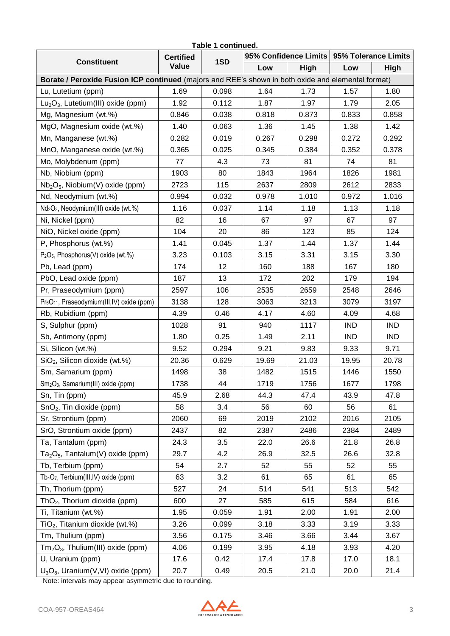| Table 1 continued.<br>95% Confidence Limits   95% Tolerance Limits                                 |                  |       |       |       |            |            |  |  |  |  |  |
|----------------------------------------------------------------------------------------------------|------------------|-------|-------|-------|------------|------------|--|--|--|--|--|
| <b>Constituent</b>                                                                                 | <b>Certified</b> | 1SD   |       |       |            |            |  |  |  |  |  |
|                                                                                                    | Value            |       | Low   | High  | Low        | High       |  |  |  |  |  |
| Borate / Peroxide Fusion ICP continued (majors and REE's shown in both oxide and elemental format) |                  |       |       |       |            |            |  |  |  |  |  |
| Lu, Lutetium (ppm)                                                                                 | 1.69             | 0.098 | 1.64  | 1.73  | 1.57       | 1.80       |  |  |  |  |  |
| $Lu2O3$ , Lutetium(III) oxide (ppm)                                                                | 1.92             | 0.112 | 1.87  | 1.97  | 1.79       | 2.05       |  |  |  |  |  |
| Mg, Magnesium (wt.%)                                                                               | 0.846            | 0.038 | 0.818 | 0.873 | 0.833      | 0.858      |  |  |  |  |  |
| MgO, Magnesium oxide (wt.%)                                                                        | 1.40             | 0.063 | 1.36  | 1.45  | 1.38       | 1.42       |  |  |  |  |  |
| Mn, Manganese (wt.%)                                                                               | 0.282            | 0.019 | 0.267 | 0.298 | 0.272      | 0.292      |  |  |  |  |  |
| MnO, Manganese oxide (wt.%)                                                                        | 0.365            | 0.025 | 0.345 | 0.384 | 0.352      | 0.378      |  |  |  |  |  |
| Mo, Molybdenum (ppm)                                                                               | 77               | 4.3   | 73    | 81    | 74         | 81         |  |  |  |  |  |
| Nb, Niobium (ppm)                                                                                  | 1903             | 80    | 1843  | 1964  | 1826       | 1981       |  |  |  |  |  |
| $Nb2O5$ , Niobium(V) oxide (ppm)                                                                   | 2723             | 115   | 2637  | 2809  | 2612       | 2833       |  |  |  |  |  |
| Nd, Neodymium (wt.%)                                                                               | 0.994            | 0.032 | 0.978 | 1.010 | 0.972      | 1.016      |  |  |  |  |  |
| Nd <sub>2</sub> O <sub>3</sub> , Neodymium(III) oxide (wt.%)                                       | 1.16             | 0.037 | 1.14  | 1.18  | 1.13       | 1.18       |  |  |  |  |  |
| Ni, Nickel (ppm)                                                                                   | 82               | 16    | 67    | 97    | 67         | 97         |  |  |  |  |  |
| NiO, Nickel oxide (ppm)                                                                            | 104              | 20    | 86    | 123   | 85         | 124        |  |  |  |  |  |
| P, Phosphorus (wt.%)                                                                               | 1.41             | 0.045 | 1.37  | 1.44  | 1.37       | 1.44       |  |  |  |  |  |
| P <sub>2</sub> O <sub>5</sub> , Phosphorus(V) oxide (wt.%)                                         | 3.23             | 0.103 | 3.15  | 3.31  | 3.15       | 3.30       |  |  |  |  |  |
| Pb, Lead (ppm)                                                                                     | 174              | 12    | 160   | 188   | 167        | 180        |  |  |  |  |  |
| PbO, Lead oxide (ppm)                                                                              | 187              | 13    | 172   | 202   | 179        | 194        |  |  |  |  |  |
| Pr, Praseodymium (ppm)                                                                             | 2597             | 106   | 2535  | 2659  | 2548       | 2646       |  |  |  |  |  |
| Pr <sub>6</sub> O <sub>11</sub> , Praseodymium(III,IV) oxide (ppm)                                 | 3138             | 128   | 3063  | 3213  | 3079       | 3197       |  |  |  |  |  |
| Rb, Rubidium (ppm)                                                                                 | 4.39             | 0.46  | 4.17  | 4.60  | 4.09       | 4.68       |  |  |  |  |  |
| S, Sulphur (ppm)                                                                                   | 1028             | 91    | 940   | 1117  | <b>IND</b> | <b>IND</b> |  |  |  |  |  |
| Sb, Antimony (ppm)                                                                                 | 1.80             | 0.25  | 1.49  | 2.11  | <b>IND</b> | <b>IND</b> |  |  |  |  |  |
| Si, Silicon (wt.%)                                                                                 | 9.52             | 0.294 | 9.21  | 9.83  | 9.33       | 9.71       |  |  |  |  |  |
| SiO <sub>2</sub> , Silicon dioxide (wt.%)                                                          | 20.36            | 0.629 | 19.69 | 21.03 | 19.95      | 20.78      |  |  |  |  |  |
| Sm, Samarium (ppm)                                                                                 | 1498             | 38    | 1482  | 1515  | 1446       | 1550       |  |  |  |  |  |
| Sm <sub>2</sub> O <sub>3</sub> , Samarium(III) oxide (ppm)                                         | 1738             | 44    | 1719  | 1756  | 1677       | 1798       |  |  |  |  |  |
| Sn, Tin (ppm)                                                                                      | 45.9             | 2.68  | 44.3  | 47.4  | 43.9       | 47.8       |  |  |  |  |  |
| $SnO2$ , Tin dioxide (ppm)                                                                         | 58               | 3.4   | 56    | 60    | 56         | 61         |  |  |  |  |  |
| Sr, Strontium (ppm)                                                                                | 2060             | 69    | 2019  | 2102  | 2016       | 2105       |  |  |  |  |  |
| SrO, Strontium oxide (ppm)                                                                         | 2437             | 82    | 2387  | 2486  | 2384       | 2489       |  |  |  |  |  |
| Ta, Tantalum (ppm)                                                                                 | 24.3             | 3.5   | 22.0  | 26.6  | 21.8       | 26.8       |  |  |  |  |  |
| $Ta_2O_5$ , Tantalum(V) oxide (ppm)                                                                | 29.7             | 4.2   | 26.9  | 32.5  | 26.6       | 32.8       |  |  |  |  |  |
| Tb, Terbium (ppm)                                                                                  | 54               | 2.7   | 52    | 55    | 52         | 55         |  |  |  |  |  |
| Tb <sub>4</sub> O <sub>7</sub> , Terbium(III,IV) oxide (ppm)                                       | 63               | 3.2   | 61    | 65    | 61         | 65         |  |  |  |  |  |
| Th, Thorium (ppm)                                                                                  | 527              | 24    | 514   | 541   | 513        | 542        |  |  |  |  |  |
| $ThO2$ , Thorium dioxide (ppm)                                                                     | 600              | 27    | 585   | 615   | 584        | 616        |  |  |  |  |  |
| Ti, Titanium (wt.%)                                                                                | 1.95             | 0.059 | 1.91  | 2.00  | 1.91       | 2.00       |  |  |  |  |  |
| $TiO2$ , Titanium dioxide (wt.%)                                                                   | 3.26             | 0.099 | 3.18  | 3.33  | 3.19       | 3.33       |  |  |  |  |  |
| Tm, Thulium (ppm)                                                                                  | 3.56             | 0.175 | 3.46  | 3.66  | 3.44       | 3.67       |  |  |  |  |  |
| $Tm2O3$ , Thulium(III) oxide (ppm)                                                                 | 4.06             | 0.199 | 3.95  | 4.18  | 3.93       | 4.20       |  |  |  |  |  |
| U, Uranium (ppm)                                                                                   | 17.6             | 0.42  | 17.4  | 17.8  | 17.0       | 18.1       |  |  |  |  |  |
| $U_3O_8$ , Uranium(V,VI) oxide (ppm)                                                               | 20.7             | 0.49  | 20.5  | 21.0  | 20.0       | 21.4       |  |  |  |  |  |

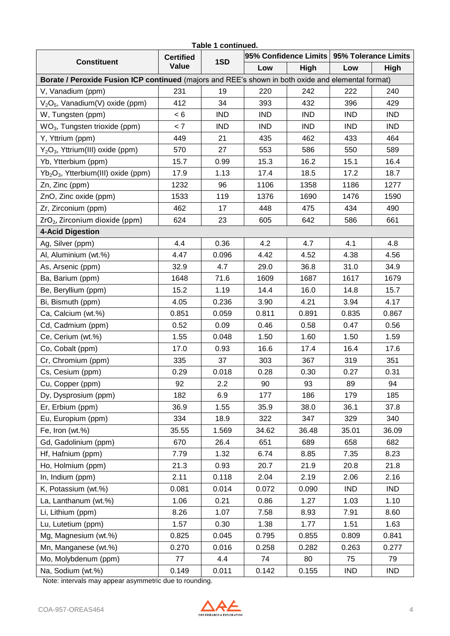| Table 1 continued.<br>95% Confidence Limits   95% Tolerance Limits                                 |                           |            |            |            |            |             |  |  |  |  |  |
|----------------------------------------------------------------------------------------------------|---------------------------|------------|------------|------------|------------|-------------|--|--|--|--|--|
| <b>Constituent</b>                                                                                 | <b>Certified</b><br>Value | 1SD        |            |            |            |             |  |  |  |  |  |
|                                                                                                    |                           |            | Low        | High       | Low        | <b>High</b> |  |  |  |  |  |
| Borate / Peroxide Fusion ICP continued (majors and REE's shown in both oxide and elemental format) |                           |            |            |            |            |             |  |  |  |  |  |
| V, Vanadium (ppm)                                                                                  | 231                       | 19         | 220        | 242        | 222        | 240         |  |  |  |  |  |
| $V2O5$ , Vanadium(V) oxide (ppm)                                                                   | 412                       | 34         | 393        | 432        | 396        | 429         |  |  |  |  |  |
| W, Tungsten (ppm)                                                                                  | < 6                       | <b>IND</b> | <b>IND</b> | <b>IND</b> | <b>IND</b> | <b>IND</b>  |  |  |  |  |  |
| WO <sub>3</sub> , Tungsten trioxide (ppm)                                                          | < 7                       | <b>IND</b> | <b>IND</b> | <b>IND</b> | <b>IND</b> | <b>IND</b>  |  |  |  |  |  |
| Y, Yttrium (ppm)                                                                                   | 449                       | 21         | 435        | 462        | 433        | 464         |  |  |  |  |  |
| Y <sub>2</sub> O <sub>3</sub> , Yttrium(III) oxide (ppm)                                           | 570                       | 27         | 553        | 586        | 550        | 589         |  |  |  |  |  |
| Yb, Ytterbium (ppm)                                                                                | 15.7                      | 0.99       | 15.3       | 16.2       | 15.1       | 16.4        |  |  |  |  |  |
| Yb <sub>2</sub> O <sub>3</sub> , Ytterbium(III) oxide (ppm)                                        | 17.9                      | 1.13       | 17.4       | 18.5       | 17.2       | 18.7        |  |  |  |  |  |
| Zn, Zinc (ppm)                                                                                     | 1232                      | 96         | 1106       | 1358       | 1186       | 1277        |  |  |  |  |  |
| ZnO, Zinc oxide (ppm)                                                                              | 1533                      | 119        | 1376       | 1690       | 1476       | 1590        |  |  |  |  |  |
| Zr, Zirconium (ppm)                                                                                | 462                       | 17         | 448        | 475        | 434        | 490         |  |  |  |  |  |
| ZrO <sub>2</sub> , Zirconium dioxide (ppm)                                                         | 624                       | 23         | 605        | 642        | 586        | 661         |  |  |  |  |  |
| <b>4-Acid Digestion</b>                                                                            |                           |            |            |            |            |             |  |  |  |  |  |
| Ag, Silver (ppm)                                                                                   | 4.4                       | 0.36       | 4.2        | 4.7        | 4.1        | 4.8         |  |  |  |  |  |
| Al, Aluminium (wt.%)                                                                               | 4.47                      | 0.096      | 4.42       | 4.52       | 4.38       | 4.56        |  |  |  |  |  |
| As, Arsenic (ppm)                                                                                  | 32.9                      | 4.7        | 29.0       | 36.8       | 31.0       | 34.9        |  |  |  |  |  |
| Ba, Barium (ppm)                                                                                   | 1648                      | 71.6       | 1609       | 1687       | 1617       | 1679        |  |  |  |  |  |
| Be, Beryllium (ppm)                                                                                | 15.2                      | 1.19       | 14.4       | 16.0       | 14.8       | 15.7        |  |  |  |  |  |
| Bi, Bismuth (ppm)                                                                                  | 4.05                      | 0.236      | 3.90       | 4.21       | 3.94       | 4.17        |  |  |  |  |  |
| Ca, Calcium (wt.%)                                                                                 | 0.851                     | 0.059      | 0.811      | 0.891      | 0.835      | 0.867       |  |  |  |  |  |
| Cd, Cadmium (ppm)                                                                                  | 0.52                      | 0.09       | 0.46       | 0.58       | 0.47       | 0.56        |  |  |  |  |  |
| Ce, Cerium (wt.%)                                                                                  | 1.55                      | 0.048      | 1.50       | 1.60       | 1.50       | 1.59        |  |  |  |  |  |
| Co, Cobalt (ppm)                                                                                   | 17.0                      | 0.93       | 16.6       | 17.4       | 16.4       | 17.6        |  |  |  |  |  |
| Cr, Chromium (ppm)                                                                                 | 335                       | 37         | 303        | 367        | 319        | 351         |  |  |  |  |  |
| Cs, Cesium (ppm)                                                                                   | 0.29                      | 0.018      | 0.28       | 0.30       | 0.27       | 0.31        |  |  |  |  |  |
| Cu, Copper (ppm)                                                                                   | 92                        | 2.2        | 90         | 93         | 89         | 94          |  |  |  |  |  |
| Dy, Dysprosium (ppm)                                                                               | 182                       | 6.9        | 177        | 186        | 179        | 185         |  |  |  |  |  |
| Er, Erbium (ppm)                                                                                   | 36.9                      | 1.55       | 35.9       | 38.0       | 36.1       | 37.8        |  |  |  |  |  |
| Eu, Europium (ppm)                                                                                 | 334                       | 18.9       | 322        | 347        | 329        | 340         |  |  |  |  |  |
| Fe, Iron (wt.%)                                                                                    | 35.55                     | 1.569      | 34.62      | 36.48      | 35.01      | 36.09       |  |  |  |  |  |
| Gd, Gadolinium (ppm)                                                                               | 670                       | 26.4       | 651        | 689        | 658        | 682         |  |  |  |  |  |
| Hf, Hafnium (ppm)                                                                                  | 7.79                      | 1.32       | 6.74       | 8.85       | 7.35       | 8.23        |  |  |  |  |  |
| Ho, Holmium (ppm)                                                                                  | 21.3                      | 0.93       | 20.7       | 21.9       | 20.8       | 21.8        |  |  |  |  |  |
| In, Indium (ppm)                                                                                   | 2.11                      | 0.118      | 2.04       | 2.19       | 2.06       | 2.16        |  |  |  |  |  |
| K, Potassium (wt.%)                                                                                | 0.081                     | 0.014      | 0.072      | 0.090      | <b>IND</b> | <b>IND</b>  |  |  |  |  |  |
| La, Lanthanum (wt.%)                                                                               | 1.06                      | 0.21       | 0.86       | 1.27       | 1.03       | 1.10        |  |  |  |  |  |
| Li, Lithium (ppm)                                                                                  | 8.26                      | 1.07       | 7.58       | 8.93       | 7.91       | 8.60        |  |  |  |  |  |
| Lu, Lutetium (ppm)                                                                                 | 1.57                      | 0.30       | 1.38       | 1.77       | 1.51       | 1.63        |  |  |  |  |  |
| Mg, Magnesium (wt.%)                                                                               | 0.825                     | 0.045      | 0.795      | 0.855      | 0.809      | 0.841       |  |  |  |  |  |
| Mn, Manganese (wt.%)                                                                               | 0.270                     | 0.016      | 0.258      | 0.282      | 0.263      | 0.277       |  |  |  |  |  |
| Mo, Molybdenum (ppm)                                                                               | 77                        | 4.4        | 74         | 80         | 75         | 79          |  |  |  |  |  |
| Na, Sodium (wt.%)                                                                                  | 0.149                     | 0.011      | 0.142      | 0.155      | <b>IND</b> | IND         |  |  |  |  |  |

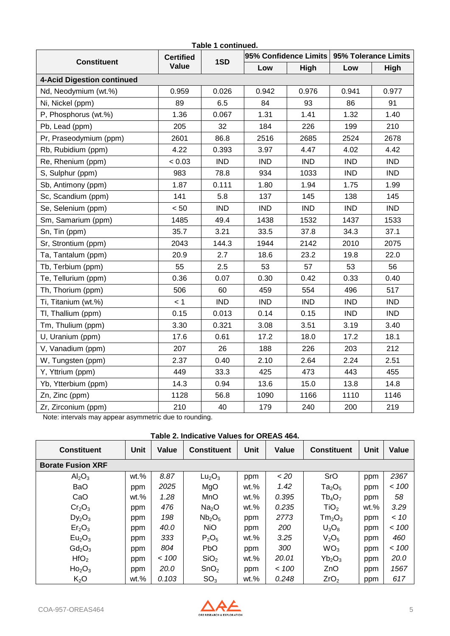| Table 1 continued.                                     |                  |            |            |                       |                      |             |  |  |  |  |
|--------------------------------------------------------|------------------|------------|------------|-----------------------|----------------------|-------------|--|--|--|--|
| <b>Constituent</b>                                     | <b>Certified</b> | 1SD        |            | 95% Confidence Limits | 95% Tolerance Limits |             |  |  |  |  |
|                                                        | Value            |            | Low        | High                  | Low                  | <b>High</b> |  |  |  |  |
| 4-Acid Digestion continued                             |                  |            |            |                       |                      |             |  |  |  |  |
| Nd, Neodymium (wt.%)                                   | 0.959            | 0.026      | 0.942      | 0.976                 | 0.941                | 0.977       |  |  |  |  |
| Ni, Nickel (ppm)                                       | 89               | 6.5        | 84         | 93                    | 86                   | 91          |  |  |  |  |
| P, Phosphorus (wt.%)                                   | 1.36             | 0.067      | 1.31       | 1.41                  | 1.32                 | 1.40        |  |  |  |  |
| Pb, Lead (ppm)                                         | 205              | 32         | 184        | 226                   | 199                  | 210         |  |  |  |  |
| Pr, Praseodymium (ppm)                                 | 2601             | 86.8       | 2516       | 2685                  | 2524                 | 2678        |  |  |  |  |
| Rb, Rubidium (ppm)                                     | 4.22             | 0.393      | 3.97       | 4.47                  | 4.02                 | 4.42        |  |  |  |  |
| Re, Rhenium (ppm)                                      | < 0.03           | <b>IND</b> | <b>IND</b> | <b>IND</b>            | <b>IND</b>           | <b>IND</b>  |  |  |  |  |
| S, Sulphur (ppm)                                       | 983              | 78.8       | 934        | 1033                  | <b>IND</b>           | <b>IND</b>  |  |  |  |  |
| Sb, Antimony (ppm)                                     | 1.87             | 0.111      | 1.80       | 1.94                  | 1.75                 | 1.99        |  |  |  |  |
| Sc, Scandium (ppm)                                     | 141              | 5.8        | 137        | 145                   | 138                  | 145         |  |  |  |  |
| Se, Selenium (ppm)                                     | < 50             | <b>IND</b> | <b>IND</b> | <b>IND</b>            | <b>IND</b>           | <b>IND</b>  |  |  |  |  |
| Sm, Samarium (ppm)                                     | 1485             | 49.4       | 1438       | 1532                  | 1437                 | 1533        |  |  |  |  |
| Sn, Tin (ppm)                                          | 35.7             | 3.21       | 33.5       | 37.8                  | 34.3                 | 37.1        |  |  |  |  |
| Sr, Strontium (ppm)                                    | 2043             | 144.3      | 1944       | 2142                  | 2010                 | 2075        |  |  |  |  |
| Ta, Tantalum (ppm)                                     | 20.9             | 2.7        | 18.6       | 23.2                  | 19.8                 | 22.0        |  |  |  |  |
| Tb, Terbium (ppm)                                      | 55               | 2.5        | 53         | 57                    | 53                   | 56          |  |  |  |  |
| Te, Tellurium (ppm)                                    | 0.36             | 0.07       | 0.30       | 0.42                  | 0.33                 | 0.40        |  |  |  |  |
| Th, Thorium (ppm)                                      | 506              | 60         | 459        | 554                   | 496                  | 517         |  |  |  |  |
| Ti, Titanium (wt.%)                                    | < 1              | <b>IND</b> | <b>IND</b> | <b>IND</b>            | <b>IND</b>           | <b>IND</b>  |  |  |  |  |
| TI, Thallium (ppm)                                     | 0.15             | 0.013      | 0.14       | 0.15                  | <b>IND</b>           | <b>IND</b>  |  |  |  |  |
| Tm, Thulium (ppm)                                      | 3.30             | 0.321      | 3.08       | 3.51                  | 3.19                 | 3.40        |  |  |  |  |
| U, Uranium (ppm)                                       | 17.6             | 0.61       | 17.2       | 18.0                  | 17.2                 | 18.1        |  |  |  |  |
| V, Vanadium (ppm)                                      | 207              | 26         | 188        | 226                   | 203                  | 212         |  |  |  |  |
| W, Tungsten (ppm)                                      | 2.37             | 0.40       | 2.10       | 2.64                  | 2.24                 | 2.51        |  |  |  |  |
| Y, Yttrium (ppm)                                       | 449              | 33.3       | 425        | 473                   | 443                  | 455         |  |  |  |  |
| Yb, Ytterbium (ppm)                                    | 14.3             | 0.94       | 13.6       | 15.0                  | 13.8                 | 14.8        |  |  |  |  |
| Zn, Zinc (ppm)                                         | 1128             | 56.8       | 1090       | 1166                  | 1110                 | 1146        |  |  |  |  |
| Zr, Zirconium (ppm)                                    | 210              | 40         | 179        | 240                   | 200                  | 219         |  |  |  |  |
| Note: intervals may appear asymmetric due to rounding. |                  |            |            |                       |                      |             |  |  |  |  |

# **Table 2. Indicative Values for OREAS 464.**

|                                |         |        | $1900$ and $21000$ and $2100$ and $210$ and $210$ |         |       |                                |         |        |
|--------------------------------|---------|--------|---------------------------------------------------|---------|-------|--------------------------------|---------|--------|
| <b>Constituent</b>             | Unit    | Value  | <b>Constituent</b>                                | Unit    | Value | <b>Constituent</b>             | Unit    | Value  |
| <b>Borate Fusion XRF</b>       |         |        |                                                   |         |       |                                |         |        |
| Al <sub>2</sub> O <sub>3</sub> | $wt.$ % | 8.87   | Lu <sub>2</sub> O <sub>3</sub>                    | ppm     | <20   | SrO                            | ppm     | 2367   |
| <b>BaO</b>                     | ppm     | 2025   | MgO                                               | wt.%    | 1.42  | $Ta_2O_5$                      | ppm     | ~< 100 |
| CaO                            | $wt.$ % | 1.28   | <b>MnO</b>                                        | $wt.\%$ | 0.395 | $Tb_4O_7$                      | ppm     | 58     |
| Cr <sub>2</sub> O <sub>3</sub> | ppm     | 476    | Na <sub>2</sub> O                                 | $wt.\%$ | 0.235 | TiO <sub>2</sub>               | $wt.\%$ | 3.29   |
| $Dy_2O_3$                      | ppm     | 198    | Nb <sub>2</sub> O <sub>5</sub>                    | ppm     | 2773  | Tm <sub>2</sub> O <sub>3</sub> | ppm     | ~< 10  |
| Er <sub>2</sub> O <sub>3</sub> | ppm     | 40.0   | <b>NiO</b>                                        | ppm     | 200   | $U_3O_8$                       | ppm     | ~< 100 |
| Eu <sub>2</sub> O <sub>3</sub> | ppm     | 333    | $P_2O_5$                                          | $wt.\%$ | 3.25  | V <sub>2</sub> O <sub>5</sub>  | ppm     | 460    |
| $Gd_2O_3$                      | ppm     | 804    | <b>PbO</b>                                        | ppm     | 300   | WO <sub>3</sub>                | ppm     | < 100  |
| HfO <sub>2</sub>               | ppm     | ~< 100 | SiO <sub>2</sub>                                  | $wt.\%$ | 20.01 | $Yb_2O_3$                      | ppm     | 20.0   |
| Ho <sub>2</sub> O <sub>3</sub> | ppm     | 20.0   | SnO <sub>2</sub>                                  | ppm     | < 100 | ZnO                            | ppm     | 1567   |
| $K_2O$                         | $wt.$ % | 0.103  | SO <sub>3</sub>                                   | $wt.\%$ | 0.248 | ZrO <sub>2</sub>               | ppm     | 617    |

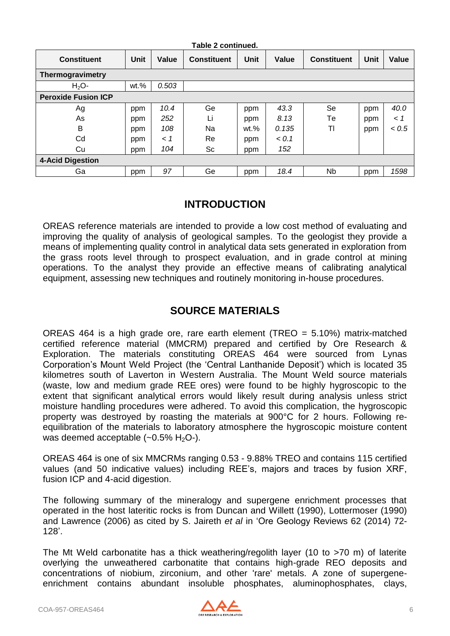|                            |         |       | Table 2 continued. |         |       |                    |      |       |
|----------------------------|---------|-------|--------------------|---------|-------|--------------------|------|-------|
| <b>Constituent</b>         | Unit    | Value | <b>Constituent</b> | Unit    | Value | <b>Constituent</b> | Unit | Value |
| Thermogravimetry           |         |       |                    |         |       |                    |      |       |
| $H_2O$ -                   | $wt.$ % | 0.503 |                    |         |       |                    |      |       |
| <b>Peroxide Fusion ICP</b> |         |       |                    |         |       |                    |      |       |
| Ag                         | ppm     | 10.4  | Ge                 | ppm     | 43.3  | Se                 | ppm  | 40.0  |
| As                         | ppm     | 252   | Li                 | ppm     | 8.13  | Тe                 | ppm  | < 1   |
| B                          | ppm     | 108   | Na                 | $wt.\%$ | 0.135 | TI                 | ppm  | < 0.5 |
| Cd                         | ppm     | < 1   | Re                 | ppm     | 0.1   |                    |      |       |
| Cu                         | ppm     | 104   | Sc                 | ppm     | 152   |                    |      |       |
| <b>4-Acid Digestion</b>    |         |       |                    |         |       |                    |      |       |
| Ga                         | ppm     | 97    | Ge                 | ppm     | 18.4  | Nb.                | ppm  | 1598  |

#### **INTRODUCTION**

OREAS reference materials are intended to provide a low cost method of evaluating and improving the quality of analysis of geological samples. To the geologist they provide a means of implementing quality control in analytical data sets generated in exploration from the grass roots level through to prospect evaluation, and in grade control at mining operations. To the analyst they provide an effective means of calibrating analytical equipment, assessing new techniques and routinely monitoring in-house procedures.

#### **SOURCE MATERIALS**

OREAS 464 is a high grade ore, rare earth element (TREO = 5.10%) matrix-matched certified reference material (MMCRM) prepared and certified by Ore Research & Exploration. The materials constituting OREAS 464 were sourced from Lynas Corporation's Mount Weld Project (the 'Central Lanthanide Deposit') which is located 35 kilometres south of Laverton in Western Australia. The Mount Weld source materials (waste, low and medium grade REE ores) were found to be highly hygroscopic to the extent that significant analytical errors would likely result during analysis unless strict moisture handling procedures were adhered. To avoid this complication, the hygroscopic property was destroyed by roasting the materials at 900°C for 2 hours. Following reequilibration of the materials to laboratory atmosphere the hygroscopic moisture content was deemed acceptable  $(-0.5\% \text{ H}_2\text{O}$ -).

OREAS 464 is one of six MMCRMs ranging 0.53 - 9.88% TREO and contains 115 certified values (and 50 indicative values) including REE's, majors and traces by fusion XRF, fusion ICP and 4-acid digestion.

The following summary of the mineralogy and supergene enrichment processes that operated in the host lateritic rocks is from Duncan and Willett (1990), Lottermoser (1990) and Lawrence (2006) as cited by S. Jaireth *et al* in 'Ore Geology Reviews 62 (2014) 72- 128'.

The Mt Weld carbonatite has a thick weathering/regolith layer (10 to >70 m) of laterite overlying the unweathered carbonatite that contains high-grade REO deposits and concentrations of niobium, zirconium, and other 'rare' metals. A zone of supergeneenrichment contains abundant insoluble phosphates, aluminophosphates, clays,

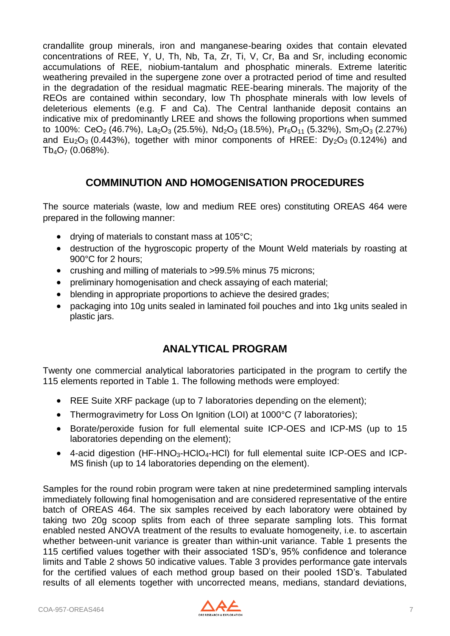crandallite group minerals, iron and manganese-bearing oxides that contain elevated concentrations of REE, Y, U, Th, Nb, Ta, Zr, Ti, V, Cr, Ba and Sr, including economic accumulations of REE, niobium-tantalum and phosphatic minerals. Extreme lateritic weathering prevailed in the supergene zone over a protracted period of time and resulted in the degradation of the residual magmatic REE-bearing minerals. The majority of the REOs are contained within secondary, low Th phosphate minerals with low levels of deleterious elements (e.g. F and Ca). The Central lanthanide deposit contains an indicative mix of predominantly LREE and shows the following proportions when summed to 100%: CeO<sub>2</sub> (46.7%), La<sub>2</sub>O<sub>3</sub> (25.5%), Nd<sub>2</sub>O<sub>3</sub> (18.5%), Pr<sub>6</sub>O<sub>11</sub> (5.32%), Sm<sub>2</sub>O<sub>3</sub> (2.27%) and  $Eu_2O_3$  (0.443%), together with minor components of HREE:  $Dy_2O_3$  (0.124%) and  $Tb_4O_7$  (0.068%).

### **COMMINUTION AND HOMOGENISATION PROCEDURES**

The source materials (waste, low and medium REE ores) constituting OREAS 464 were prepared in the following manner:

- drying of materials to constant mass at 105°C;
- destruction of the hygroscopic property of the Mount Weld materials by roasting at 900°C for 2 hours;
- crushing and milling of materials to >99.5% minus 75 microns;
- preliminary homogenisation and check assaying of each material;
- blending in appropriate proportions to achieve the desired grades;
- packaging into 10g units sealed in laminated foil pouches and into 1kg units sealed in plastic jars.

# **ANALYTICAL PROGRAM**

Twenty one commercial analytical laboratories participated in the program to certify the 115 elements reported in Table 1. The following methods were employed:

- REE Suite XRF package (up to 7 laboratories depending on the element);
- Thermogravimetry for Loss On Ignition (LOI) at 1000°C (7 laboratories);
- Borate/peroxide fusion for full elemental suite ICP-OES and ICP-MS (up to 15 laboratories depending on the element);
- $\bullet$  4-acid digestion (HF-HNO<sub>3</sub>-HCIO<sub>4</sub>-HCI) for full elemental suite ICP-OES and ICP-MS finish (up to 14 laboratories depending on the element).

Samples for the round robin program were taken at nine predetermined sampling intervals immediately following final homogenisation and are considered representative of the entire batch of OREAS 464. The six samples received by each laboratory were obtained by taking two 20g scoop splits from each of three separate sampling lots. This format enabled nested ANOVA treatment of the results to evaluate homogeneity, i.e. to ascertain whether between-unit variance is greater than within-unit variance. Table 1 presents the 115 certified values together with their associated 1SD's, 95% confidence and tolerance limits and Table 2 shows 50 indicative values. Table 3 provides performance gate intervals for the certified values of each method group based on their pooled 1SD's. Tabulated results of all elements together with uncorrected means, medians, standard deviations,

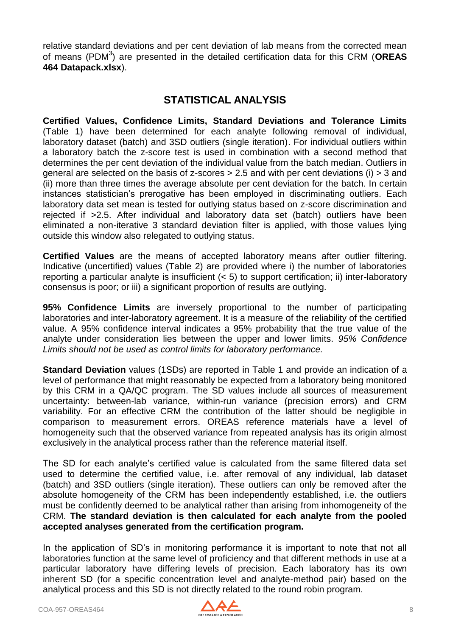relative standard deviations and per cent deviation of lab means from the corrected mean of means (PDM<sup>3</sup>) are presented in the detailed certification data for this CRM (OREAS **464 Datapack.xlsx**).

#### **STATISTICAL ANALYSIS**

**Certified Values, Confidence Limits, Standard Deviations and Tolerance Limits**  (Table 1) have been determined for each analyte following removal of individual, laboratory dataset (batch) and 3SD outliers (single iteration). For individual outliers within a laboratory batch the z-score test is used in combination with a second method that determines the per cent deviation of the individual value from the batch median. Outliers in general are selected on the basis of z-scores > 2.5 and with per cent deviations (i) > 3 and (ii) more than three times the average absolute per cent deviation for the batch. In certain instances statistician's prerogative has been employed in discriminating outliers. Each laboratory data set mean is tested for outlying status based on z-score discrimination and rejected if >2.5. After individual and laboratory data set (batch) outliers have been eliminated a non-iterative 3 standard deviation filter is applied, with those values lying outside this window also relegated to outlying status.

**Certified Values** are the means of accepted laboratory means after outlier filtering. Indicative (uncertified) values (Table 2) are provided where i) the number of laboratories reporting a particular analyte is insufficient (< 5) to support certification; ii) inter-laboratory consensus is poor; or iii) a significant proportion of results are outlying.

**95% Confidence Limits** are inversely proportional to the number of participating laboratories and inter-laboratory agreement. It is a measure of the reliability of the certified value. A 95% confidence interval indicates a 95% probability that the true value of the analyte under consideration lies between the upper and lower limits. *95% Confidence Limits should not be used as control limits for laboratory performance.*

**Standard Deviation** values (1SDs) are reported in Table 1 and provide an indication of a level of performance that might reasonably be expected from a laboratory being monitored by this CRM in a QA/QC program. The SD values include all sources of measurement uncertainty: between-lab variance, within-run variance (precision errors) and CRM variability. For an effective CRM the contribution of the latter should be negligible in comparison to measurement errors. OREAS reference materials have a level of homogeneity such that the observed variance from repeated analysis has its origin almost exclusively in the analytical process rather than the reference material itself.

The SD for each analyte's certified value is calculated from the same filtered data set used to determine the certified value, i.e. after removal of any individual, lab dataset (batch) and 3SD outliers (single iteration). These outliers can only be removed after the absolute homogeneity of the CRM has been independently established, i.e. the outliers must be confidently deemed to be analytical rather than arising from inhomogeneity of the CRM. **The standard deviation is then calculated for each analyte from the pooled accepted analyses generated from the certification program.**

In the application of SD's in monitoring performance it is important to note that not all laboratories function at the same level of proficiency and that different methods in use at a particular laboratory have differing levels of precision. Each laboratory has its own inherent SD (for a specific concentration level and analyte-method pair) based on the analytical process and this SD is not directly related to the round robin program.

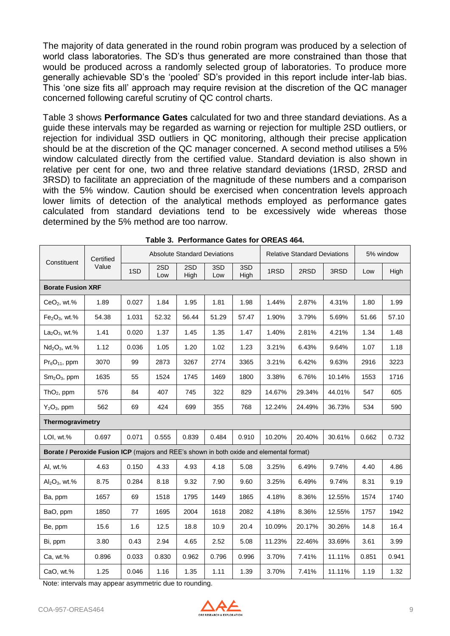The majority of data generated in the round robin program was produced by a selection of world class laboratories. The SD's thus generated are more constrained than those that would be produced across a randomly selected group of laboratories. To produce more generally achievable SD's the 'pooled' SD's provided in this report include inter-lab bias. This 'one size fits all' approach may require revision at the discretion of the QC manager concerned following careful scrutiny of QC control charts.

Table 3 shows **Performance Gates** calculated for two and three standard deviations. As a guide these intervals may be regarded as warning or rejection for multiple 2SD outliers, or rejection for individual 3SD outliers in QC monitoring, although their precise application should be at the discretion of the QC manager concerned. A second method utilises a 5% window calculated directly from the certified value. Standard deviation is also shown in relative per cent for one, two and three relative standard deviations (1RSD, 2RSD and 3RSD) to facilitate an appreciation of the magnitude of these numbers and a comparison with the 5% window. Caution should be exercised when concentration levels approach lower limits of detection of the analytical methods employed as performance gates calculated from standard deviations tend to be excessively wide whereas those determined by the 5% method are too narrow.

|                                                                                          | Certified |       |            |             | <b>Absolute Standard Deviations</b> |             |        | <b>Relative Standard Deviations</b> |        |       | 5% window |
|------------------------------------------------------------------------------------------|-----------|-------|------------|-------------|-------------------------------------|-------------|--------|-------------------------------------|--------|-------|-----------|
| Constituent                                                                              | Value     | 1SD   | 2SD<br>Low | 2SD<br>High | 3SD<br>Low                          | 3SD<br>High | 1RSD   | 2RSD                                | 3RSD   | Low   | High      |
| <b>Borate Fusion XRF</b>                                                                 |           |       |            |             |                                     |             |        |                                     |        |       |           |
| $CeO2$ , wt.%                                                                            | 1.89      | 0.027 | 1.84       | 1.95        | 1.81                                | 1.98        | 1.44%  | 2.87%                               | 4.31%  | 1.80  | 1.99      |
| $Fe2O3$ , wt.%                                                                           | 54.38     | 1.031 | 52.32      | 56.44       | 51.29                               | 57.47       | 1.90%  | 3.79%                               | 5.69%  | 51.66 | 57.10     |
| $La2O3$ , wt.%                                                                           | 1.41      | 0.020 | 1.37       | 1.45        | 1.35                                | 1.47        | 1.40%  | 2.81%                               | 4.21%  | 1.34  | 1.48      |
| $Nd2O3$ , wt.%                                                                           | 1.12      | 0.036 | 1.05       | 1.20        | 1.02                                | 1.23        | 3.21%  | 6.43%                               | 9.64%  | 1.07  | 1.18      |
| $Pr_6O_{11}$ , ppm                                                                       | 3070      | 99    | 2873       | 3267        | 2774                                | 3365        | 3.21%  | 6.42%                               | 9.63%  | 2916  | 3223      |
| $Sm2O3$ , ppm                                                                            | 1635      | 55    | 1524       | 1745        | 1469                                | 1800        | 3.38%  | 6.76%                               | 10.14% | 1553  | 1716      |
| ThO <sub>2</sub> , ppm                                                                   | 576       | 84    | 407        | 745         | 322                                 | 829         | 14.67% | 29.34%                              | 44.01% | 547   | 605       |
| $Y_2O_3$ , ppm                                                                           | 562       | 69    | 424        | 699         | 355                                 | 768         | 12.24% | 24.49%                              | 36.73% | 534   | 590       |
| Thermogravimetry                                                                         |           |       |            |             |                                     |             |        |                                     |        |       |           |
| LOI, wt.%                                                                                | 0.697     | 0.071 | 0.555      | 0.839       | 0.484                               | 0.910       | 10.20% | 20.40%                              | 30.61% | 0.662 | 0.732     |
| Borate / Peroxide Fusion ICP (majors and REE's shown in both oxide and elemental format) |           |       |            |             |                                     |             |        |                                     |        |       |           |
| Al, wt.%                                                                                 | 4.63      | 0.150 | 4.33       | 4.93        | 4.18                                | 5.08        | 3.25%  | 6.49%                               | 9.74%  | 4.40  | 4.86      |
| $Al_2O_3$ , wt.%                                                                         | 8.75      | 0.284 | 8.18       | 9.32        | 7.90                                | 9.60        | 3.25%  | 6.49%                               | 9.74%  | 8.31  | 9.19      |
| Ba, ppm                                                                                  | 1657      | 69    | 1518       | 1795        | 1449                                | 1865        | 4.18%  | 8.36%                               | 12.55% | 1574  | 1740      |
| BaO, ppm                                                                                 | 1850      | 77    | 1695       | 2004        | 1618                                | 2082        | 4.18%  | 8.36%                               | 12.55% | 1757  | 1942      |
| Be, ppm                                                                                  | 15.6      | 1.6   | 12.5       | 18.8        | 10.9                                | 20.4        | 10.09% | 20.17%                              | 30.26% | 14.8  | 16.4      |
| Bi, ppm                                                                                  | 3.80      | 0.43  | 2.94       | 4.65        | 2.52                                | 5.08        | 11.23% | 22.46%                              | 33.69% | 3.61  | 3.99      |
| Ca, wt.%                                                                                 | 0.896     | 0.033 | 0.830      | 0.962       | 0.796                               | 0.996       | 3.70%  | 7.41%                               | 11.11% | 0.851 | 0.941     |
| CaO, wt.%                                                                                | 1.25      | 0.046 | 1.16       | 1.35        | 1.11                                | 1.39        | 3.70%  | 7.41%                               | 11.11% | 1.19  | 1.32      |

| Table 3. Performance Gates for OREAS 464. |
|-------------------------------------------|
|                                           |

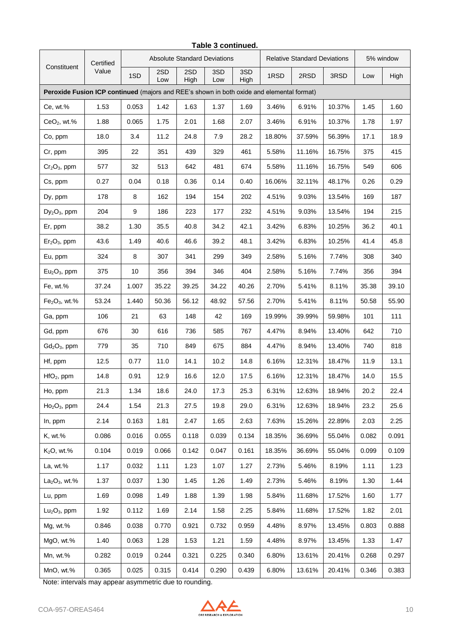|                                                                                           | Certified | <b>Absolute Standard Deviations</b><br><b>Relative Standard Deviations</b> |            |             |            |             |        |        |        | 5% window |       |
|-------------------------------------------------------------------------------------------|-----------|----------------------------------------------------------------------------|------------|-------------|------------|-------------|--------|--------|--------|-----------|-------|
| Constituent                                                                               | Value     | 1SD                                                                        | 2SD<br>Low | 2SD<br>High | 3SD<br>Low | 3SD<br>High | 1RSD   | 2RSD   | 3RSD   | Low       | High  |
| Peroxide Fusion ICP continued (majors and REE's shown in both oxide and elemental format) |           |                                                                            |            |             |            |             |        |        |        |           |       |
| Ce, wt.%                                                                                  | 1.53      | 0.053                                                                      | 1.42       | 1.63        | 1.37       | 1.69        | 3.46%  | 6.91%  | 10.37% | 1.45      | 1.60  |
| $CeO2$ , wt.%                                                                             | 1.88      | 0.065                                                                      | 1.75       | 2.01        | 1.68       | 2.07        | 3.46%  | 6.91%  | 10.37% | 1.78      | 1.97  |
| Co, ppm                                                                                   | 18.0      | 3.4                                                                        | 11.2       | 24.8        | 7.9        | 28.2        | 18.80% | 37.59% | 56.39% | 17.1      | 18.9  |
| Cr, ppm                                                                                   | 395       | 22                                                                         | 351        | 439         | 329        | 461         | 5.58%  | 11.16% | 16.75% | 375       | 415   |
| $Cr2O3$ , ppm                                                                             | 577       | 32                                                                         | 513        | 642         | 481        | 674         | 5.58%  | 11.16% | 16.75% | 549       | 606   |
| Cs, ppm                                                                                   | 0.27      | 0.04                                                                       | 0.18       | 0.36        | 0.14       | 0.40        | 16.06% | 32.11% | 48.17% | 0.26      | 0.29  |
| Dy, ppm                                                                                   | 178       | 8                                                                          | 162        | 194         | 154        | 202         | 4.51%  | 9.03%  | 13.54% | 169       | 187   |
| $Dy_2O_3$ , ppm                                                                           | 204       | 9                                                                          | 186        | 223         | 177        | 232         | 4.51%  | 9.03%  | 13.54% | 194       | 215   |
| Er, ppm                                                                                   | 38.2      | 1.30                                                                       | 35.5       | 40.8        | 34.2       | 42.1        | 3.42%  | 6.83%  | 10.25% | 36.2      | 40.1  |
| $Er2O3$ , ppm                                                                             | 43.6      | 1.49                                                                       | 40.6       | 46.6        | 39.2       | 48.1        | 3.42%  | 6.83%  | 10.25% | 41.4      | 45.8  |
| Eu, ppm                                                                                   | 324       | 8                                                                          | 307        | 341         | 299        | 349         | 2.58%  | 5.16%  | 7.74%  | 308       | 340   |
| $Eu2O3$ , ppm                                                                             | 375       | 10                                                                         | 356        | 394         | 346        | 404         | 2.58%  | 5.16%  | 7.74%  | 356       | 394   |
| Fe, wt.%                                                                                  | 37.24     | 1.007                                                                      | 35.22      | 39.25       | 34.22      | 40.26       | 2.70%  | 5.41%  | 8.11%  | 35.38     | 39.10 |
| $Fe2O3$ , wt.%                                                                            | 53.24     | 1.440                                                                      | 50.36      | 56.12       | 48.92      | 57.56       | 2.70%  | 5.41%  | 8.11%  | 50.58     | 55.90 |
| Ga, ppm                                                                                   | 106       | 21                                                                         | 63         | 148         | 42         | 169         | 19.99% | 39.99% | 59.98% | 101       | 111   |
| Gd, ppm                                                                                   | 676       | 30                                                                         | 616        | 736         | 585        | 767         | 4.47%  | 8.94%  | 13.40% | 642       | 710   |
| $Gd_2O_3$ , ppm                                                                           | 779       | 35                                                                         | 710        | 849         | 675        | 884         | 4.47%  | 8.94%  | 13.40% | 740       | 818   |
| Hf, ppm                                                                                   | 12.5      | 0.77                                                                       | 11.0       | 14.1        | 10.2       | 14.8        | 6.16%  | 12.31% | 18.47% | 11.9      | 13.1  |
| $HfO2$ , ppm                                                                              | 14.8      | 0.91                                                                       | 12.9       | 16.6        | 12.0       | 17.5        | 6.16%  | 12.31% | 18.47% | 14.0      | 15.5  |
| Ho, ppm                                                                                   | 21.3      | 1.34                                                                       | 18.6       | 24.0        | 17.3       | 25.3        | 6.31%  | 12.63% | 18.94% | 20.2      | 22.4  |
| $Ho2O3$ , ppm                                                                             | 24.4      | 1.54                                                                       | 21.3       | 27.5        | 19.8       | 29.0        | 6.31%  | 12.63% | 18.94% | 23.2      | 25.6  |
| In, ppm                                                                                   | 2.14      | 0.163                                                                      | 1.81       | 2.47        | 1.65       | 2.63        | 7.63%  | 15.26% | 22.89% | 2.03      | 2.25  |
| K, wt.%                                                                                   | 0.086     | 0.016                                                                      | 0.055      | 0.118       | 0.039      | 0.134       | 18.35% | 36.69% | 55.04% | 0.082     | 0.091 |
| $K2O$ , wt.%                                                                              | 0.104     | 0.019                                                                      | 0.066      | 0.142       | 0.047      | 0.161       | 18.35% | 36.69% | 55.04% | 0.099     | 0.109 |
| La, wt.%                                                                                  | 1.17      | 0.032                                                                      | 1.11       | 1.23        | 1.07       | 1.27        | 2.73%  | 5.46%  | 8.19%  | 1.11      | 1.23  |
| $La2O3$ , wt.%                                                                            | 1.37      | 0.037                                                                      | 1.30       | 1.45        | 1.26       | 1.49        | 2.73%  | 5.46%  | 8.19%  | 1.30      | 1.44  |
| Lu, ppm                                                                                   | 1.69      | 0.098                                                                      | 1.49       | 1.88        | 1.39       | 1.98        | 5.84%  | 11.68% | 17.52% | 1.60      | 1.77  |
| $Lu2O3$ , ppm                                                                             | 1.92      | 0.112                                                                      | 1.69       | 2.14        | 1.58       | 2.25        | 5.84%  | 11.68% | 17.52% | 1.82      | 2.01  |
| Mg, wt.%                                                                                  | 0.846     | 0.038                                                                      | 0.770      | 0.921       | 0.732      | 0.959       | 4.48%  | 8.97%  | 13.45% | 0.803     | 0.888 |
| MgO, wt.%                                                                                 | 1.40      | 0.063                                                                      | 1.28       | 1.53        | 1.21       | 1.59        | 4.48%  | 8.97%  | 13.45% | 1.33      | 1.47  |
| Mn, wt.%                                                                                  | 0.282     | 0.019                                                                      | 0.244      | 0.321       | 0.225      | 0.340       | 6.80%  | 13.61% | 20.41% | 0.268     | 0.297 |
| MnO, wt.%                                                                                 | 0.365     | 0.025                                                                      | 0.315      | 0.414       | 0.290      | 0.439       | 6.80%  | 13.61% | 20.41% | 0.346     | 0.383 |

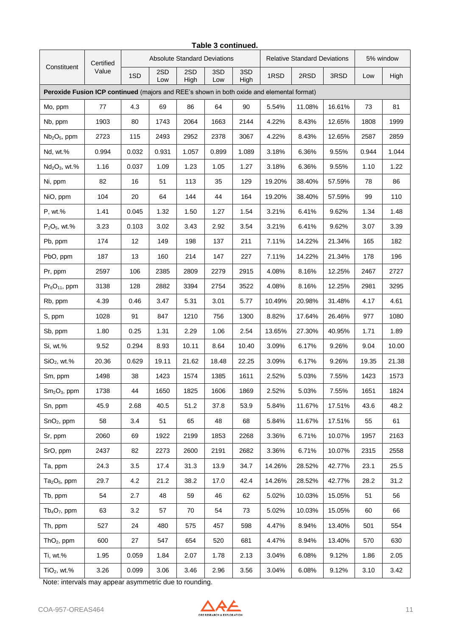|                                                                                           | Certified | <b>Absolute Standard Deviations</b><br><b>Relative Standard Deviations</b> |            |             |            |             |        | 5% window |        |       |       |
|-------------------------------------------------------------------------------------------|-----------|----------------------------------------------------------------------------|------------|-------------|------------|-------------|--------|-----------|--------|-------|-------|
| Constituent                                                                               | Value     | 1SD                                                                        | 2SD<br>Low | 2SD<br>High | 3SD<br>Low | 3SD<br>High | 1RSD   | 2RSD      | 3RSD   | Low   | High  |
| Peroxide Fusion ICP continued (majors and REE's shown in both oxide and elemental format) |           |                                                                            |            |             |            |             |        |           |        |       |       |
| Mo, ppm                                                                                   | 77        | 4.3                                                                        | 69         | 86          | 64         | 90          | 5.54%  | 11.08%    | 16.61% | 73    | 81    |
| Nb, ppm                                                                                   | 1903      | 80                                                                         | 1743       | 2064        | 1663       | 2144        | 4.22%  | 8.43%     | 12.65% | 1808  | 1999  |
| $Nb2O5$ , ppm                                                                             | 2723      | 115                                                                        | 2493       | 2952        | 2378       | 3067        | 4.22%  | 8.43%     | 12.65% | 2587  | 2859  |
| Nd, wt.%                                                                                  | 0.994     | 0.032                                                                      | 0.931      | 1.057       | 0.899      | 1.089       | 3.18%  | 6.36%     | 9.55%  | 0.944 | 1.044 |
| $Nd2O3$ , wt.%                                                                            | 1.16      | 0.037                                                                      | 1.09       | 1.23        | 1.05       | 1.27        | 3.18%  | 6.36%     | 9.55%  | 1.10  | 1.22  |
| Ni, ppm                                                                                   | 82        | 16                                                                         | 51         | 113         | 35         | 129         | 19.20% | 38.40%    | 57.59% | 78    | 86    |
| NiO, ppm                                                                                  | 104       | 20                                                                         | 64         | 144         | 44         | 164         | 19.20% | 38.40%    | 57.59% | 99    | 110   |
| P, wt.%                                                                                   | 1.41      | 0.045                                                                      | 1.32       | 1.50        | 1.27       | 1.54        | 3.21%  | 6.41%     | 9.62%  | 1.34  | 1.48  |
| $P_2O_5$ , wt.%                                                                           | 3.23      | 0.103                                                                      | 3.02       | 3.43        | 2.92       | 3.54        | 3.21%  | 6.41%     | 9.62%  | 3.07  | 3.39  |
| Pb, ppm                                                                                   | 174       | 12                                                                         | 149        | 198         | 137        | 211         | 7.11%  | 14.22%    | 21.34% | 165   | 182   |
| PbO, ppm                                                                                  | 187       | 13                                                                         | 160        | 214         | 147        | 227         | 7.11%  | 14.22%    | 21.34% | 178   | 196   |
| Pr, ppm                                                                                   | 2597      | 106                                                                        | 2385       | 2809        | 2279       | 2915        | 4.08%  | 8.16%     | 12.25% | 2467  | 2727  |
| $Pr_6O_{11}$ , ppm                                                                        | 3138      | 128                                                                        | 2882       | 3394        | 2754       | 3522        | 4.08%  | 8.16%     | 12.25% | 2981  | 3295  |
| Rb, ppm                                                                                   | 4.39      | 0.46                                                                       | 3.47       | 5.31        | 3.01       | 5.77        | 10.49% | 20.98%    | 31.48% | 4.17  | 4.61  |
| S, ppm                                                                                    | 1028      | 91                                                                         | 847        | 1210        | 756        | 1300        | 8.82%  | 17.64%    | 26.46% | 977   | 1080  |
| Sb, ppm                                                                                   | 1.80      | 0.25                                                                       | 1.31       | 2.29        | 1.06       | 2.54        | 13.65% | 27.30%    | 40.95% | 1.71  | 1.89  |
| Si, wt.%                                                                                  | 9.52      | 0.294                                                                      | 8.93       | 10.11       | 8.64       | 10.40       | 3.09%  | 6.17%     | 9.26%  | 9.04  | 10.00 |
| $SiO2$ , wt.%                                                                             | 20.36     | 0.629                                                                      | 19.11      | 21.62       | 18.48      | 22.25       | 3.09%  | 6.17%     | 9.26%  | 19.35 | 21.38 |
| Sm, ppm                                                                                   | 1498      | 38                                                                         | 1423       | 1574        | 1385       | 1611        | 2.52%  | 5.03%     | 7.55%  | 1423  | 1573  |
| $Sm2O3$ , ppm                                                                             | 1738      | 44                                                                         | 1650       | 1825        | 1606       | 1869        | 2.52%  | 5.03%     | 7.55%  | 1651  | 1824  |
| Sn, ppm                                                                                   | 45.9      | 2.68                                                                       | 40.5       | 51.2        | 37.8       | 53.9        | 5.84%  | 11.67%    | 17.51% | 43.6  | 48.2  |
| $SnO2$ , ppm                                                                              | 58        | 3.4                                                                        | 51         | 65          | 48         | 68          | 5.84%  | 11.67%    | 17.51% | 55    | 61    |
| Sr, ppm                                                                                   | 2060      | 69                                                                         | 1922       | 2199        | 1853       | 2268        | 3.36%  | 6.71%     | 10.07% | 1957  | 2163  |
| SrO, ppm                                                                                  | 2437      | 82                                                                         | 2273       | 2600        | 2191       | 2682        | 3.36%  | 6.71%     | 10.07% | 2315  | 2558  |
| Ta, ppm                                                                                   | 24.3      | 3.5                                                                        | 17.4       | 31.3        | 13.9       | 34.7        | 14.26% | 28.52%    | 42.77% | 23.1  | 25.5  |
| $Ta2O5$ , ppm                                                                             | 29.7      | 4.2                                                                        | 21.2       | 38.2        | 17.0       | 42.4        | 14.26% | 28.52%    | 42.77% | 28.2  | 31.2  |
| Tb, ppm                                                                                   | 54        | 2.7                                                                        | 48         | 59          | 46         | 62          | 5.02%  | 10.03%    | 15.05% | 51    | 56    |
| $Tb4O7$ , ppm                                                                             | 63        | 3.2                                                                        | 57         | 70          | 54         | 73          | 5.02%  | 10.03%    | 15.05% | 60    | 66    |
| Th, ppm                                                                                   | 527       | 24                                                                         | 480        | 575         | 457        | 598         | 4.47%  | 8.94%     | 13.40% | 501   | 554   |
| $ThO2$ , ppm                                                                              | 600       | 27                                                                         | 547        | 654         | 520        | 681         | 4.47%  | 8.94%     | 13.40% | 570   | 630   |
| Ti, wt.%                                                                                  | 1.95      | 0.059                                                                      | 1.84       | 2.07        | 1.78       | 2.13        | 3.04%  | 6.08%     | 9.12%  | 1.86  | 2.05  |
| $TiO2$ , wt.%                                                                             | 3.26      | 0.099                                                                      | 3.06       | 3.46        | 2.96       | 3.56        | 3.04%  | 6.08%     | 9.12%  | 3.10  | 3.42  |

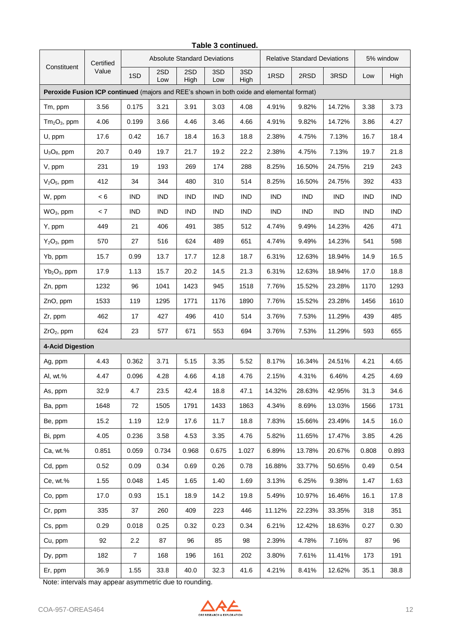|                                                                                           | Certified |                | <b>Absolute Standard Deviations</b><br><b>Relative Standard Deviations</b> |             |            |             |            |            | 5% window  |            |            |
|-------------------------------------------------------------------------------------------|-----------|----------------|----------------------------------------------------------------------------|-------------|------------|-------------|------------|------------|------------|------------|------------|
| Constituent                                                                               | Value     | 1SD            | 2SD<br>Low                                                                 | 2SD<br>High | 3SD<br>Low | 3SD<br>High | 1RSD       | 2RSD       | 3RSD       | Low        | High       |
| Peroxide Fusion ICP continued (majors and REE's shown in both oxide and elemental format) |           |                |                                                                            |             |            |             |            |            |            |            |            |
| Tm, ppm                                                                                   | 3.56      | 0.175          | 3.21                                                                       | 3.91        | 3.03       | 4.08        | 4.91%      | 9.82%      | 14.72%     | 3.38       | 3.73       |
| $Tm2O3$ , ppm                                                                             | 4.06      | 0.199          | 3.66                                                                       | 4.46        | 3.46       | 4.66        | 4.91%      | 9.82%      | 14.72%     | 3.86       | 4.27       |
| U, ppm                                                                                    | 17.6      | 0.42           | 16.7                                                                       | 18.4        | 16.3       | 18.8        | 2.38%      | 4.75%      | 7.13%      | 16.7       | 18.4       |
| $U_3O_8$ , ppm                                                                            | 20.7      | 0.49           | 19.7                                                                       | 21.7        | 19.2       | 22.2        | 2.38%      | 4.75%      | 7.13%      | 19.7       | 21.8       |
| V, ppm                                                                                    | 231       | 19             | 193                                                                        | 269         | 174        | 288         | 8.25%      | 16.50%     | 24.75%     | 219        | 243        |
| $V2O5$ , ppm                                                                              | 412       | 34             | 344                                                                        | 480         | 310        | 514         | 8.25%      | 16.50%     | 24.75%     | 392        | 433        |
| W, ppm                                                                                    | < 6       | <b>IND</b>     | <b>IND</b>                                                                 | <b>IND</b>  | <b>IND</b> | <b>IND</b>  | <b>IND</b> | <b>IND</b> | <b>IND</b> | <b>IND</b> | <b>IND</b> |
| $WO3$ , ppm                                                                               | < 7       | <b>IND</b>     | <b>IND</b>                                                                 | <b>IND</b>  | <b>IND</b> | <b>IND</b>  | <b>IND</b> | <b>IND</b> | <b>IND</b> | <b>IND</b> | <b>IND</b> |
| Y, ppm                                                                                    | 449       | 21             | 406                                                                        | 491         | 385        | 512         | 4.74%      | 9.49%      | 14.23%     | 426        | 471        |
| $Y_2O_3$ , ppm                                                                            | 570       | 27             | 516                                                                        | 624         | 489        | 651         | 4.74%      | 9.49%      | 14.23%     | 541        | 598        |
| Yb, ppm                                                                                   | 15.7      | 0.99           | 13.7                                                                       | 17.7        | 12.8       | 18.7        | 6.31%      | 12.63%     | 18.94%     | 14.9       | 16.5       |
| $Yb_2O_3$ , ppm                                                                           | 17.9      | 1.13           | 15.7                                                                       | 20.2        | 14.5       | 21.3        | 6.31%      | 12.63%     | 18.94%     | 17.0       | 18.8       |
| Zn, ppm                                                                                   | 1232      | 96             | 1041                                                                       | 1423        | 945        | 1518        | 7.76%      | 15.52%     | 23.28%     | 1170       | 1293       |
| ZnO, ppm                                                                                  | 1533      | 119            | 1295                                                                       | 1771        | 1176       | 1890        | 7.76%      | 15.52%     | 23.28%     | 1456       | 1610       |
| Zr, ppm                                                                                   | 462       | 17             | 427                                                                        | 496         | 410        | 514         | 3.76%      | 7.53%      | 11.29%     | 439        | 485        |
| ZrO <sub>2</sub> , ppm                                                                    | 624       | 23             | 577                                                                        | 671         | 553        | 694         | 3.76%      | 7.53%      | 11.29%     | 593        | 655        |
| <b>4-Acid Digestion</b>                                                                   |           |                |                                                                            |             |            |             |            |            |            |            |            |
| Ag, ppm                                                                                   | 4.43      | 0.362          | 3.71                                                                       | 5.15        | 3.35       | 5.52        | 8.17%      | 16.34%     | 24.51%     | 4.21       | 4.65       |
| Al, wt.%                                                                                  | 4.47      | 0.096          | 4.28                                                                       | 4.66        | 4.18       | 4.76        | 2.15%      | 4.31%      | 6.46%      | 4.25       | 4.69       |
| As, ppm                                                                                   | 32.9      | 4.7            | 23.5                                                                       | 42.4        | 18.8       | 47.1        | 14.32%     | 28.63%     | 42.95%     | 31.3       | 34.6       |
| Ba, ppm                                                                                   | 1648      | 72             | 1505                                                                       | 1791        | 1433       | 1863        | 4.34%      | 8.69%      | 13.03%     | 1566       | 1731       |
| Be, ppm                                                                                   | 15.2      | 1.19           | 12.9                                                                       | 17.6        | 11.7       | 18.8        | 7.83%      | 15.66%     | 23.49%     | 14.5       | 16.0       |
| Bi, ppm                                                                                   | 4.05      | 0.236          | 3.58                                                                       | 4.53        | 3.35       | 4.76        | 5.82%      | 11.65%     | 17.47%     | 3.85       | 4.26       |
| Ca, wt.%                                                                                  | 0.851     | 0.059          | 0.734                                                                      | 0.968       | 0.675      | 1.027       | 6.89%      | 13.78%     | 20.67%     | 0.808      | 0.893      |
| Cd, ppm                                                                                   | 0.52      | 0.09           | 0.34                                                                       | 0.69        | 0.26       | 0.78        | 16.88%     | 33.77%     | 50.65%     | 0.49       | 0.54       |
| Ce, wt.%                                                                                  | 1.55      | 0.048          | 1.45                                                                       | 1.65        | 1.40       | 1.69        | 3.13%      | 6.25%      | 9.38%      | 1.47       | 1.63       |
| Co, ppm                                                                                   | 17.0      | 0.93           | 15.1                                                                       | 18.9        | 14.2       | 19.8        | 5.49%      | 10.97%     | 16.46%     | 16.1       | 17.8       |
| Cr, ppm                                                                                   | 335       | 37             | 260                                                                        | 409         | 223        | 446         | 11.12%     | 22.23%     | 33.35%     | 318        | 351        |
| Cs, ppm                                                                                   | 0.29      | 0.018          | 0.25                                                                       | 0.32        | 0.23       | 0.34        | 6.21%      | 12.42%     | 18.63%     | 0.27       | 0.30       |
| Cu, ppm                                                                                   | 92        | 2.2            | 87                                                                         | 96          | 85         | 98          | 2.39%      | 4.78%      | 7.16%      | 87         | 96         |
| Dy, ppm                                                                                   | 182       | $\overline{7}$ | 168                                                                        | 196         | 161        | 202         | 3.80%      | 7.61%      | 11.41%     | 173        | 191        |
| Er, ppm                                                                                   | 36.9      | 1.55           | 33.8                                                                       | 40.0        | 32.3       | 41.6        | 4.21%      | 8.41%      | 12.62%     | 35.1       | 38.8       |

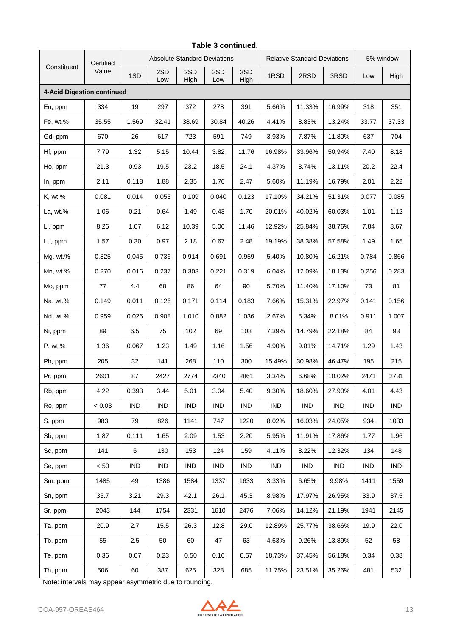| Table 3 continued.         |                    |                                     |            |             |            |             |                                     |            |            |            |            |
|----------------------------|--------------------|-------------------------------------|------------|-------------|------------|-------------|-------------------------------------|------------|------------|------------|------------|
| Constituent                | Certified<br>Value | <b>Absolute Standard Deviations</b> |            |             |            |             | <b>Relative Standard Deviations</b> |            |            | 5% window  |            |
|                            |                    | 1SD                                 | 2SD<br>Low | 2SD<br>High | 3SD<br>Low | 3SD<br>High | 1RSD                                | 2RSD       | 3RSD       | Low        | High       |
| 4-Acid Digestion continued |                    |                                     |            |             |            |             |                                     |            |            |            |            |
| Eu, ppm                    | 334                | 19                                  | 297        | 372         | 278        | 391         | 5.66%                               | 11.33%     | 16.99%     | 318        | 351        |
| Fe, wt.%                   | 35.55              | 1.569                               | 32.41      | 38.69       | 30.84      | 40.26       | 4.41%                               | 8.83%      | 13.24%     | 33.77      | 37.33      |
| Gd, ppm                    | 670                | 26                                  | 617        | 723         | 591        | 749         | 3.93%                               | 7.87%      | 11.80%     | 637        | 704        |
| Hf, ppm                    | 7.79               | 1.32                                | 5.15       | 10.44       | 3.82       | 11.76       | 16.98%                              | 33.96%     | 50.94%     | 7.40       | 8.18       |
| Ho, ppm                    | 21.3               | 0.93                                | 19.5       | 23.2        | 18.5       | 24.1        | 4.37%                               | 8.74%      | 13.11%     | 20.2       | 22.4       |
| In, ppm                    | 2.11               | 0.118                               | 1.88       | 2.35        | 1.76       | 2.47        | 5.60%                               | 11.19%     | 16.79%     | 2.01       | 2.22       |
| K, wt.%                    | 0.081              | 0.014                               | 0.053      | 0.109       | 0.040      | 0.123       | 17.10%                              | 34.21%     | 51.31%     | 0.077      | 0.085      |
| La, wt.%                   | 1.06               | 0.21                                | 0.64       | 1.49        | 0.43       | 1.70        | 20.01%                              | 40.02%     | 60.03%     | 1.01       | 1.12       |
| Li, ppm                    | 8.26               | 1.07                                | 6.12       | 10.39       | 5.06       | 11.46       | 12.92%                              | 25.84%     | 38.76%     | 7.84       | 8.67       |
| Lu, ppm                    | 1.57               | 0.30                                | 0.97       | 2.18        | 0.67       | 2.48        | 19.19%                              | 38.38%     | 57.58%     | 1.49       | 1.65       |
| Mg, wt.%                   | 0.825              | 0.045                               | 0.736      | 0.914       | 0.691      | 0.959       | 5.40%                               | 10.80%     | 16.21%     | 0.784      | 0.866      |
| Mn, wt.%                   | 0.270              | 0.016                               | 0.237      | 0.303       | 0.221      | 0.319       | 6.04%                               | 12.09%     | 18.13%     | 0.256      | 0.283      |
| Mo, ppm                    | 77                 | 4.4                                 | 68         | 86          | 64         | 90          | 5.70%                               | 11.40%     | 17.10%     | 73         | 81         |
| Na, wt.%                   | 0.149              | 0.011                               | 0.126      | 0.171       | 0.114      | 0.183       | 7.66%                               | 15.31%     | 22.97%     | 0.141      | 0.156      |
| Nd, wt.%                   | 0.959              | 0.026                               | 0.908      | 1.010       | 0.882      | 1.036       | 2.67%                               | 5.34%      | 8.01%      | 0.911      | 1.007      |
| Ni, ppm                    | 89                 | 6.5                                 | 75         | 102         | 69         | 108         | 7.39%                               | 14.79%     | 22.18%     | 84         | 93         |
| P, wt.%                    | 1.36               | 0.067                               | 1.23       | 1.49        | 1.16       | 1.56        | 4.90%                               | 9.81%      | 14.71%     | 1.29       | 1.43       |
| Pb, ppm                    | 205                | 32                                  | 141        | 268         | 110        | 300         | 15.49%                              | 30.98%     | 46.47%     | 195        | 215        |
| Pr, ppm                    | 2601               | 87                                  | 2427       | 2774        | 2340       | 2861        | 3.34%                               | 6.68%      | 10.02%     | 2471       | 2731       |
| Rb, ppm                    | 4.22               | 0.393                               | 3.44       | 5.01        | 3.04       | 5.40        | 9.30%                               | 18.60%     | 27.90%     | 4.01       | 4.43       |
| Re, ppm                    | < 0.03             | <b>IND</b>                          | <b>IND</b> | <b>IND</b>  | <b>IND</b> | <b>IND</b>  | <b>IND</b>                          | <b>IND</b> | <b>IND</b> | <b>IND</b> | <b>IND</b> |
| S, ppm                     | 983                | 79                                  | 826        | 1141        | 747        | 1220        | 8.02%                               | 16.03%     | 24.05%     | 934        | 1033       |
| Sb, ppm                    | 1.87               | 0.111                               | 1.65       | 2.09        | 1.53       | 2.20        | 5.95%                               | 11.91%     | 17.86%     | 1.77       | 1.96       |
| Sc, ppm                    | 141                | 6                                   | 130        | 153         | 124        | 159         | 4.11%                               | 8.22%      | 12.32%     | 134        | 148        |
| Se, ppm                    | < 50               | IND                                 | <b>IND</b> | <b>IND</b>  | IND        | <b>IND</b>  | IND                                 | IND        | <b>IND</b> | <b>IND</b> | IND        |
| Sm, ppm                    | 1485               | 49                                  | 1386       | 1584        | 1337       | 1633        | 3.33%                               | 6.65%      | 9.98%      | 1411       | 1559       |
| Sn, ppm                    | 35.7               | 3.21                                | 29.3       | 42.1        | 26.1       | 45.3        | 8.98%                               | 17.97%     | 26.95%     | 33.9       | 37.5       |
| Sr, ppm                    | 2043               | 144                                 | 1754       | 2331        | 1610       | 2476        | 7.06%                               | 14.12%     | 21.19%     | 1941       | 2145       |
| Ta, ppm                    | 20.9               | 2.7                                 | 15.5       | 26.3        | 12.8       | 29.0        | 12.89%                              | 25.77%     | 38.66%     | 19.9       | 22.0       |
| Tb, ppm                    | 55                 | 2.5                                 | 50         | 60          | 47         | 63          | 4.63%                               | 9.26%      | 13.89%     | 52         | 58         |
| Te, ppm                    | 0.36               | 0.07                                | 0.23       | 0.50        | 0.16       | 0.57        | 18.73%                              | 37.45%     | 56.18%     | 0.34       | 0.38       |
| Th, ppm                    | 506                | 60                                  | 387        | 625         | 328        | 685         | 11.75%                              | 23.51%     | 35.26%     | 481        | 532        |

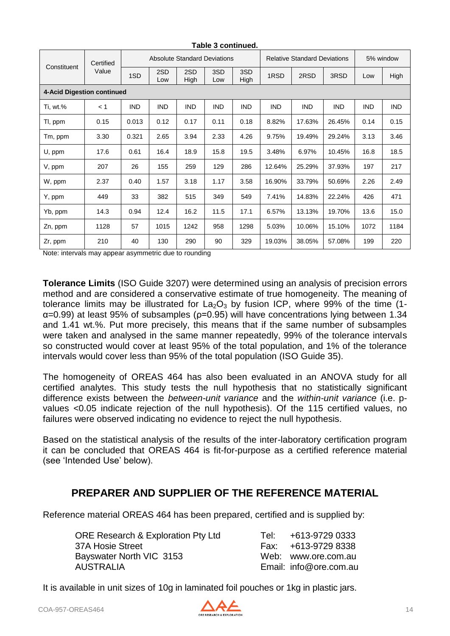| Constituent                | Certified<br>Value |            |            |             | <b>Absolute Standard Deviations</b> |             | <b>Relative Standard Deviations</b> |            |            | 5% window  |            |
|----------------------------|--------------------|------------|------------|-------------|-------------------------------------|-------------|-------------------------------------|------------|------------|------------|------------|
|                            |                    | 1SD        | 2SD<br>Low | 2SD<br>High | 3SD<br>Low                          | 3SD<br>High | 1RSD                                | 2RSD       | 3RSD       | Low        | High       |
| 4-Acid Digestion continued |                    |            |            |             |                                     |             |                                     |            |            |            |            |
| Ti, wt.%                   | < 1                | <b>IND</b> | <b>IND</b> | <b>IND</b>  | <b>IND</b>                          | <b>IND</b>  | <b>IND</b>                          | <b>IND</b> | <b>IND</b> | <b>IND</b> | <b>IND</b> |
| TI, ppm                    | 0.15               | 0.013      | 0.12       | 0.17        | 0.11                                | 0.18        | 8.82%                               | 17.63%     | 26.45%     | 0.14       | 0.15       |
| Tm, ppm                    | 3.30               | 0.321      | 2.65       | 3.94        | 2.33                                | 4.26        | 9.75%                               | 19.49%     | 29.24%     | 3.13       | 3.46       |
| U, ppm                     | 17.6               | 0.61       | 16.4       | 18.9        | 15.8                                | 19.5        | 3.48%                               | 6.97%      | 10.45%     | 16.8       | 18.5       |
| V, ppm                     | 207                | 26         | 155        | 259         | 129                                 | 286         | 12.64%                              | 25.29%     | 37.93%     | 197        | 217        |
| W, ppm                     | 2.37               | 0.40       | 1.57       | 3.18        | 1.17                                | 3.58        | 16.90%                              | 33.79%     | 50.69%     | 2.26       | 2.49       |
| Y, ppm                     | 449                | 33         | 382        | 515         | 349                                 | 549         | 7.41%                               | 14.83%     | 22.24%     | 426        | 471        |
| Yb, ppm                    | 14.3               | 0.94       | 12.4       | 16.2        | 11.5                                | 17.1        | 6.57%                               | 13.13%     | 19.70%     | 13.6       | 15.0       |
| Zn, ppm                    | 1128               | 57         | 1015       | 1242        | 958                                 | 1298        | 5.03%                               | 10.06%     | 15.10%     | 1072       | 1184       |
| Zr, ppm                    | 210                | 40         | 130        | 290         | 90                                  | 329         | 19.03%                              | 38.05%     | 57.08%     | 199        | 220        |

Note: intervals may appear asymmetric due to rounding

**Tolerance Limits** (ISO Guide 3207) were determined using an analysis of precision errors method and are considered a conservative estimate of true homogeneity. The meaning of tolerance limits may be illustrated for  $La_2O_3$  by fusion ICP, where 99% of the time (1α=0.99) at least 95% of subsamples (ρ=0.95) will have concentrations lying between 1.34 and 1.41 wt.%. Put more precisely, this means that if the same number of subsamples were taken and analysed in the same manner repeatedly, 99% of the tolerance intervals so constructed would cover at least 95% of the total population, and 1% of the tolerance intervals would cover less than 95% of the total population (ISO Guide 35).

The homogeneity of OREAS 464 has also been evaluated in an ANOVA study for all certified analytes. This study tests the null hypothesis that no statistically significant difference exists between the *between-unit variance* and the *within-unit variance* (i.e. pvalues <0.05 indicate rejection of the null hypothesis). Of the 115 certified values, no failures were observed indicating no evidence to reject the null hypothesis.

Based on the statistical analysis of the results of the inter-laboratory certification program it can be concluded that OREAS 464 is fit-for-purpose as a certified reference material (see 'Intended Use' below).

# **PREPARER AND SUPPLIER OF THE REFERENCE MATERIAL**

Reference material OREAS 464 has been prepared, certified and is supplied by:

ORE Research & Exploration Pty Ltd 37A Hosie Street Fax: +613-9729 83389 83389 83389 83389 83389 8338 Bayswater North VIC 3153 AUSTRALIA

| Tel: | +613-9729 0333         |
|------|------------------------|
| Fax: | +613-9729 8338         |
| Web: | www.ore.com.au         |
|      | Email: info@ore.com.au |

It is available in unit sizes of 10g in laminated foil pouches or 1kg in plastic jars.

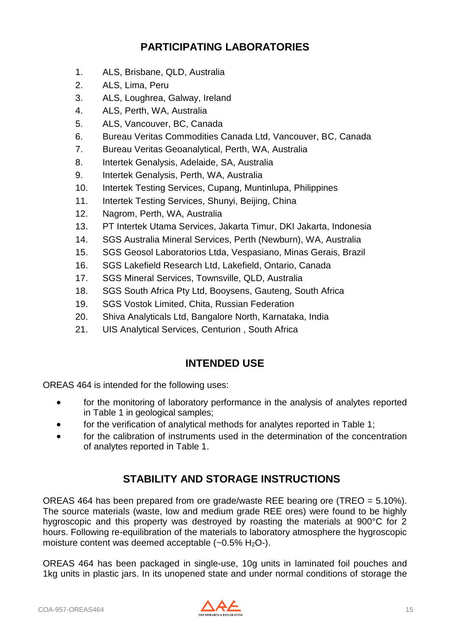# **PARTICIPATING LABORATORIES**

- 1. ALS, Brisbane, QLD, Australia
- 2. ALS, Lima, Peru
- 3. ALS, Loughrea, Galway, Ireland
- 4. ALS, Perth, WA, Australia
- 5. ALS, Vancouver, BC, Canada
- 6. Bureau Veritas Commodities Canada Ltd, Vancouver, BC, Canada
- 7. Bureau Veritas Geoanalytical, Perth, WA, Australia
- 8. Intertek Genalysis, Adelaide, SA, Australia
- 9. Intertek Genalysis, Perth, WA, Australia
- 10. Intertek Testing Services, Cupang, Muntinlupa, Philippines
- 11. Intertek Testing Services, Shunyi, Beijing, China
- 12. Nagrom, Perth, WA, Australia
- 13. PT Intertek Utama Services, Jakarta Timur, DKI Jakarta, Indonesia
- 14. SGS Australia Mineral Services, Perth (Newburn), WA, Australia
- 15. SGS Geosol Laboratorios Ltda, Vespasiano, Minas Gerais, Brazil
- 16. SGS Lakefield Research Ltd, Lakefield, Ontario, Canada
- 17. SGS Mineral Services, Townsville, QLD, Australia
- 18. SGS South Africa Pty Ltd, Booysens, Gauteng, South Africa
- 19. SGS Vostok Limited, Chita, Russian Federation
- 20. Shiva Analyticals Ltd, Bangalore North, Karnataka, India
- 21. UIS Analytical Services, Centurion , South Africa

#### **INTENDED USE**

OREAS 464 is intended for the following uses:

- for the monitoring of laboratory performance in the analysis of analytes reported in Table 1 in geological samples;
- for the verification of analytical methods for analytes reported in Table 1;
- for the calibration of instruments used in the determination of the concentration of analytes reported in Table 1.

# **STABILITY AND STORAGE INSTRUCTIONS**

OREAS 464 has been prepared from ore grade/waste REE bearing ore (TREO = 5.10%). The source materials (waste, low and medium grade REE ores) were found to be highly hygroscopic and this property was destroyed by roasting the materials at 900°C for 2 hours. Following re-equilibration of the materials to laboratory atmosphere the hygroscopic moisture content was deemed acceptable  $(-0.5\% \text{ H}_2\text{O} - \text{H}_2\text{O})$ .

OREAS 464 has been packaged in single-use, 10g units in laminated foil pouches and 1kg units in plastic jars. In its unopened state and under normal conditions of storage the

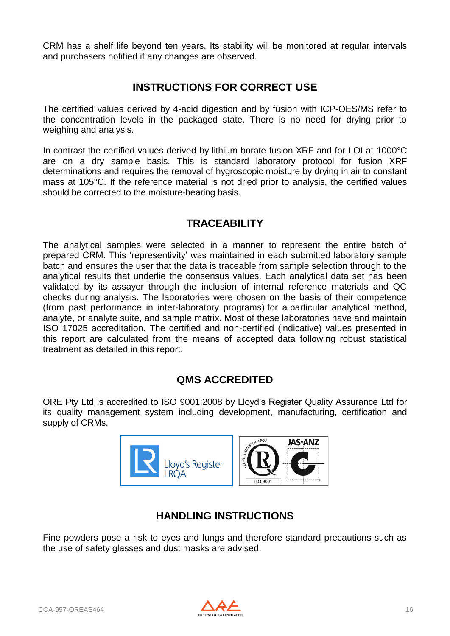CRM has a shelf life beyond ten years. Its stability will be monitored at regular intervals and purchasers notified if any changes are observed.

#### **INSTRUCTIONS FOR CORRECT USE**

The certified values derived by 4-acid digestion and by fusion with ICP-OES/MS refer to the concentration levels in the packaged state. There is no need for drying prior to weighing and analysis.

In contrast the certified values derived by lithium borate fusion XRF and for LOI at 1000°C are on a dry sample basis. This is standard laboratory protocol for fusion XRF determinations and requires the removal of hygroscopic moisture by drying in air to constant mass at 105°C. If the reference material is not dried prior to analysis, the certified values should be corrected to the moisture-bearing basis.

### **TRACEABILITY**

The analytical samples were selected in a manner to represent the entire batch of prepared CRM. This 'representivity' was maintained in each submitted laboratory sample batch and ensures the user that the data is traceable from sample selection through to the analytical results that underlie the consensus values. Each analytical data set has been validated by its assayer through the inclusion of internal reference materials and QC checks during analysis. The laboratories were chosen on the basis of their competence (from past performance in inter-laboratory programs) for a particular analytical method, analyte, or analyte suite, and sample matrix. Most of these laboratories have and maintain ISO 17025 accreditation. The certified and non-certified (indicative) values presented in this report are calculated from the means of accepted data following robust statistical treatment as detailed in this report.

# **QMS ACCREDITED**

ORE Pty Ltd is accredited to ISO 9001:2008 by Lloyd's Register Quality Assurance Ltd for its quality management system including development, manufacturing, certification and supply of CRMs.



# **HANDLING INSTRUCTIONS**

Fine powders pose a risk to eyes and lungs and therefore standard precautions such as the use of safety glasses and dust masks are advised.